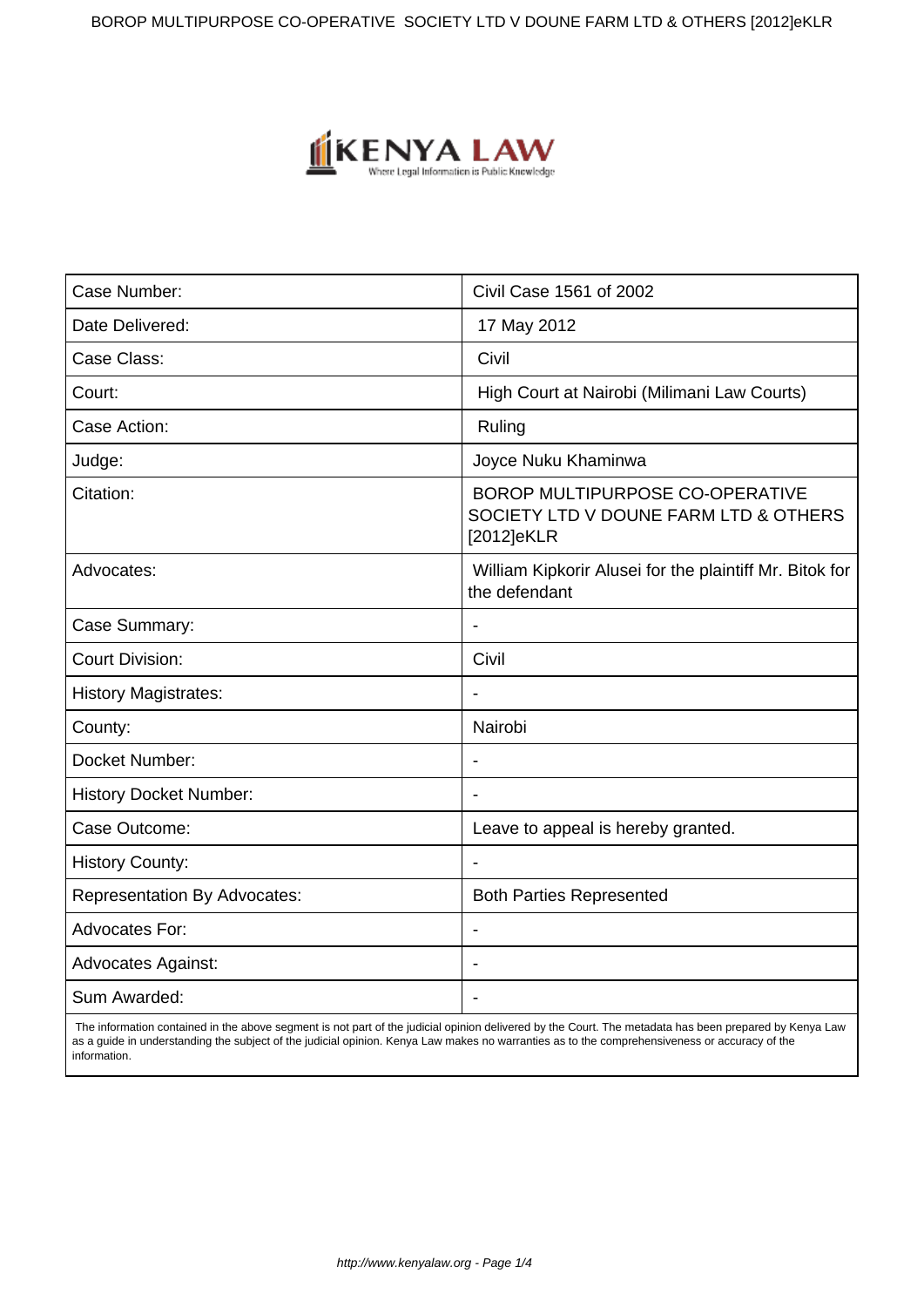BOROP MULTIPURPOSE CO-OPERATIVE SOCIETY LTD V DOUNE FARM LTD & OTHERS [2012]eKLR



| Case Number:                        | Civil Case 1561 of 2002                                                                |
|-------------------------------------|----------------------------------------------------------------------------------------|
| Date Delivered:                     | 17 May 2012                                                                            |
| Case Class:                         | Civil                                                                                  |
| Court:                              | High Court at Nairobi (Milimani Law Courts)                                            |
| Case Action:                        | Ruling                                                                                 |
| Judge:                              | Joyce Nuku Khaminwa                                                                    |
| Citation:                           | BOROP MULTIPURPOSE CO-OPERATIVE<br>SOCIETY LTD V DOUNE FARM LTD & OTHERS<br>[2012]eKLR |
| Advocates:                          | William Kipkorir Alusei for the plaintiff Mr. Bitok for<br>the defendant               |
| Case Summary:                       |                                                                                        |
| <b>Court Division:</b>              | Civil                                                                                  |
| <b>History Magistrates:</b>         | $\blacksquare$                                                                         |
| County:                             | Nairobi                                                                                |
| Docket Number:                      |                                                                                        |
| <b>History Docket Number:</b>       |                                                                                        |
| Case Outcome:                       | Leave to appeal is hereby granted.                                                     |
| <b>History County:</b>              |                                                                                        |
| <b>Representation By Advocates:</b> | <b>Both Parties Represented</b>                                                        |
| <b>Advocates For:</b>               | $\overline{\phantom{a}}$                                                               |
| <b>Advocates Against:</b>           |                                                                                        |
| Sum Awarded:                        |                                                                                        |

 The information contained in the above segment is not part of the judicial opinion delivered by the Court. The metadata has been prepared by Kenya Law as a guide in understanding the subject of the judicial opinion. Kenya Law makes no warranties as to the comprehensiveness or accuracy of the information.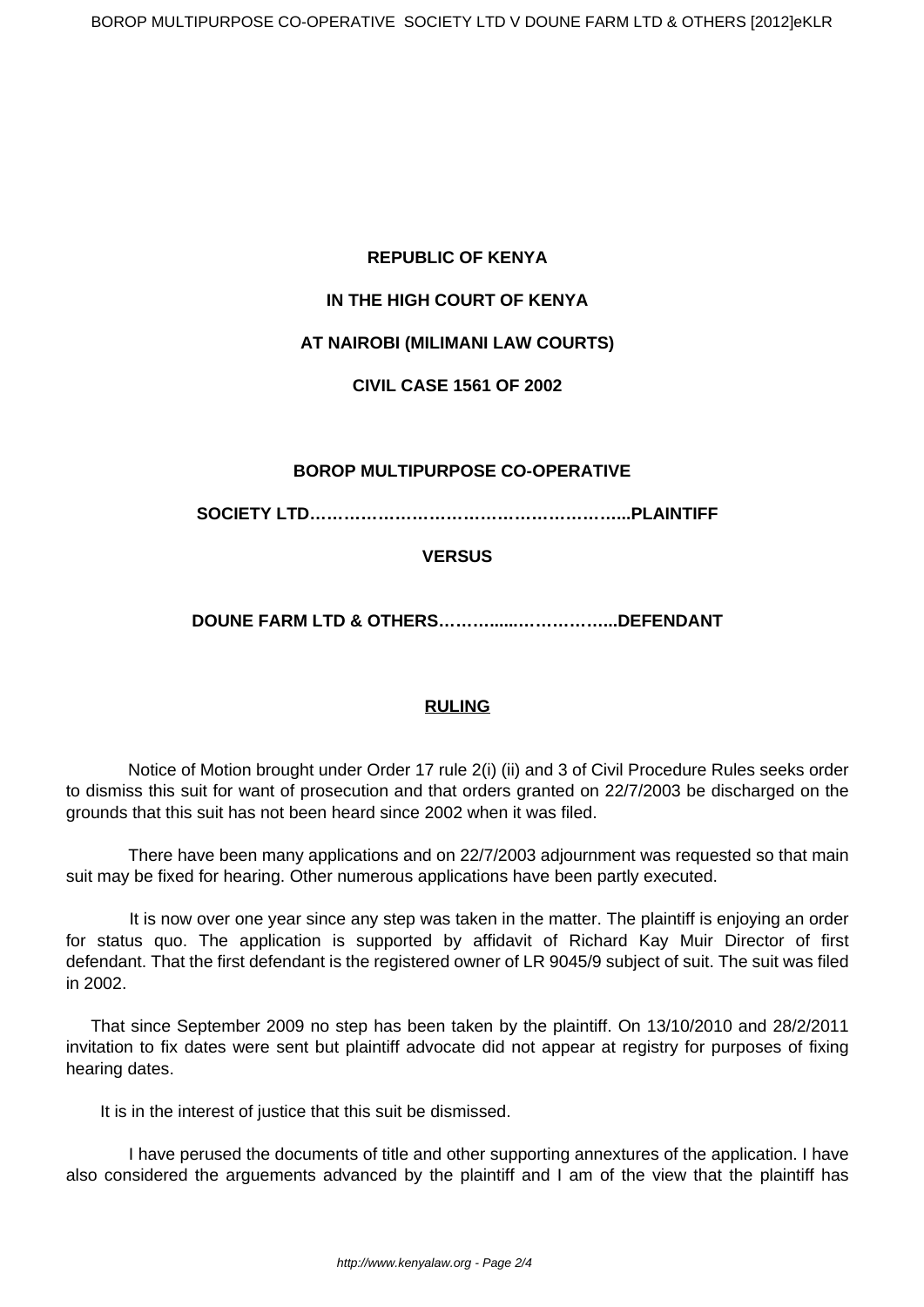# **REPUBLIC OF KENYA**

# **IN THE HIGH COURT OF KENYA**

# **AT NAIROBI (MILIMANI LAW COURTS)**

# **CIVIL CASE 1561 OF 2002**

# **BOROP MULTIPURPOSE CO-OPERATIVE**

**SOCIETY LTD………………………………………………...PLAINTIFF**

# **VERSUS**

**DOUNE FARM LTD & OTHERS………......……………...DEFENDANT**

# **RULING**

Notice of Motion brought under Order 17 rule 2(i) (ii) and 3 of Civil Procedure Rules seeks order to dismiss this suit for want of prosecution and that orders granted on 22/7/2003 be discharged on the grounds that this suit has not been heard since 2002 when it was filed.

 There have been many applications and on 22/7/2003 adjournment was requested so that main suit may be fixed for hearing. Other numerous applications have been partly executed.

 It is now over one year since any step was taken in the matter. The plaintiff is enjoying an order for status quo. The application is supported by affidavit of Richard Kay Muir Director of first defendant. That the first defendant is the registered owner of LR 9045/9 subject of suit. The suit was filed in 2002.

That since September 2009 no step has been taken by the plaintiff. On 13/10/2010 and 28/2/2011 invitation to fix dates were sent but plaintiff advocate did not appear at registry for purposes of fixing hearing dates.

It is in the interest of justice that this suit be dismissed.

 I have perused the documents of title and other supporting annextures of the application. I have also considered the arguements advanced by the plaintiff and I am of the view that the plaintiff has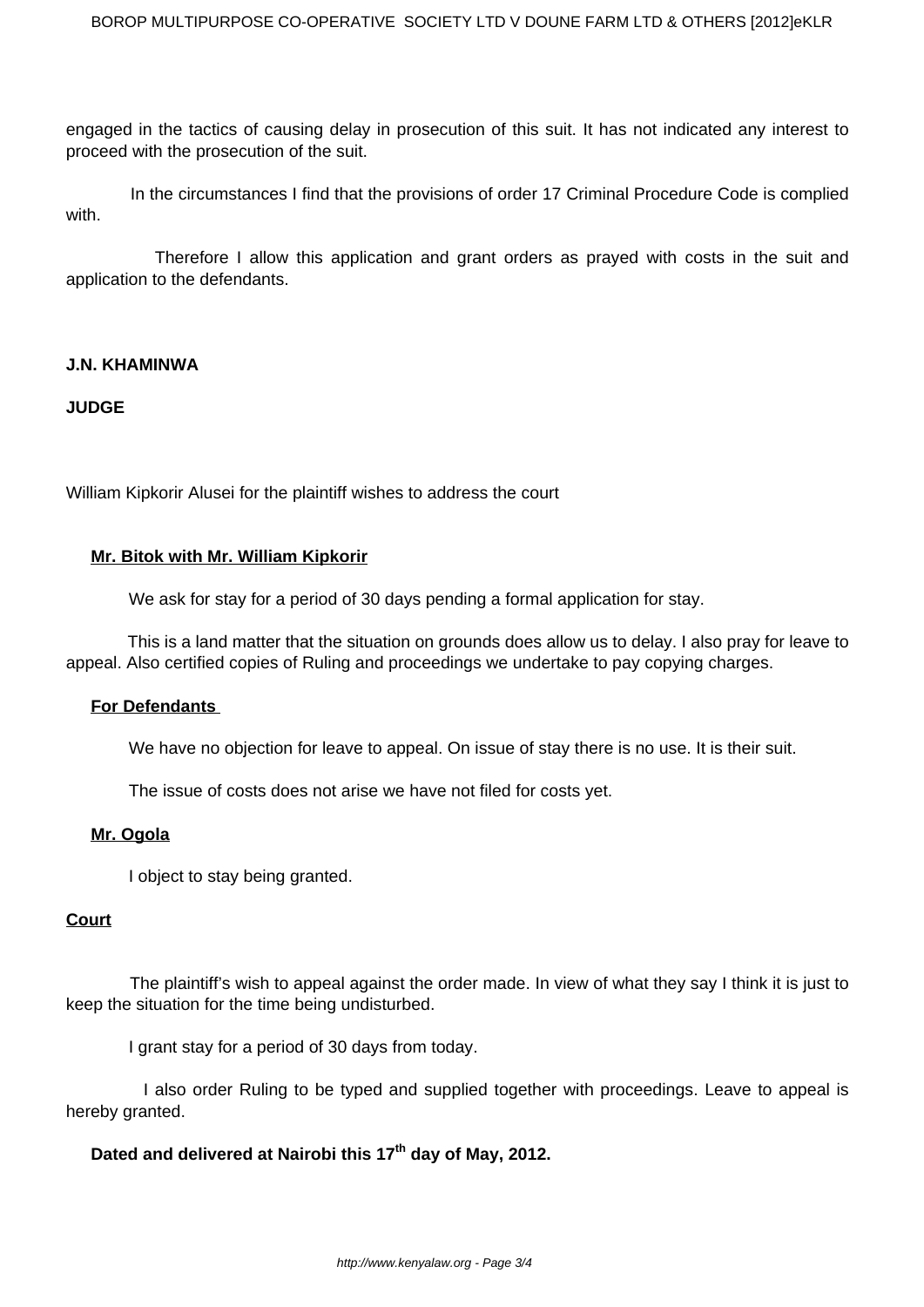engaged in the tactics of causing delay in prosecution of this suit. It has not indicated any interest to proceed with the prosecution of the suit.

 In the circumstances I find that the provisions of order 17 Criminal Procedure Code is complied with.

 Therefore I allow this application and grant orders as prayed with costs in the suit and application to the defendants.

## **J.N. KHAMINWA**

## **JUDGE**

William Kipkorir Alusei for the plaintiff wishes to address the court

## **Mr. Bitok with Mr. William Kipkorir**

We ask for stay for a period of 30 days pending a formal application for stay.

 This is a land matter that the situation on grounds does allow us to delay. I also pray for leave to appeal. Also certified copies of Ruling and proceedings we undertake to pay copying charges.

## **For Defendants**

We have no objection for leave to appeal. On issue of stay there is no use. It is their suit.

The issue of costs does not arise we have not filed for costs yet.

## **Mr. Ogola**

I object to stay being granted.

## **Court**

 The plaintiff's wish to appeal against the order made. In view of what they say I think it is just to keep the situation for the time being undisturbed.

I grant stay for a period of 30 days from today.

 I also order Ruling to be typed and supplied together with proceedings. Leave to appeal is hereby granted.

## **Dated and delivered at Nairobi this 17th day of May, 2012.**